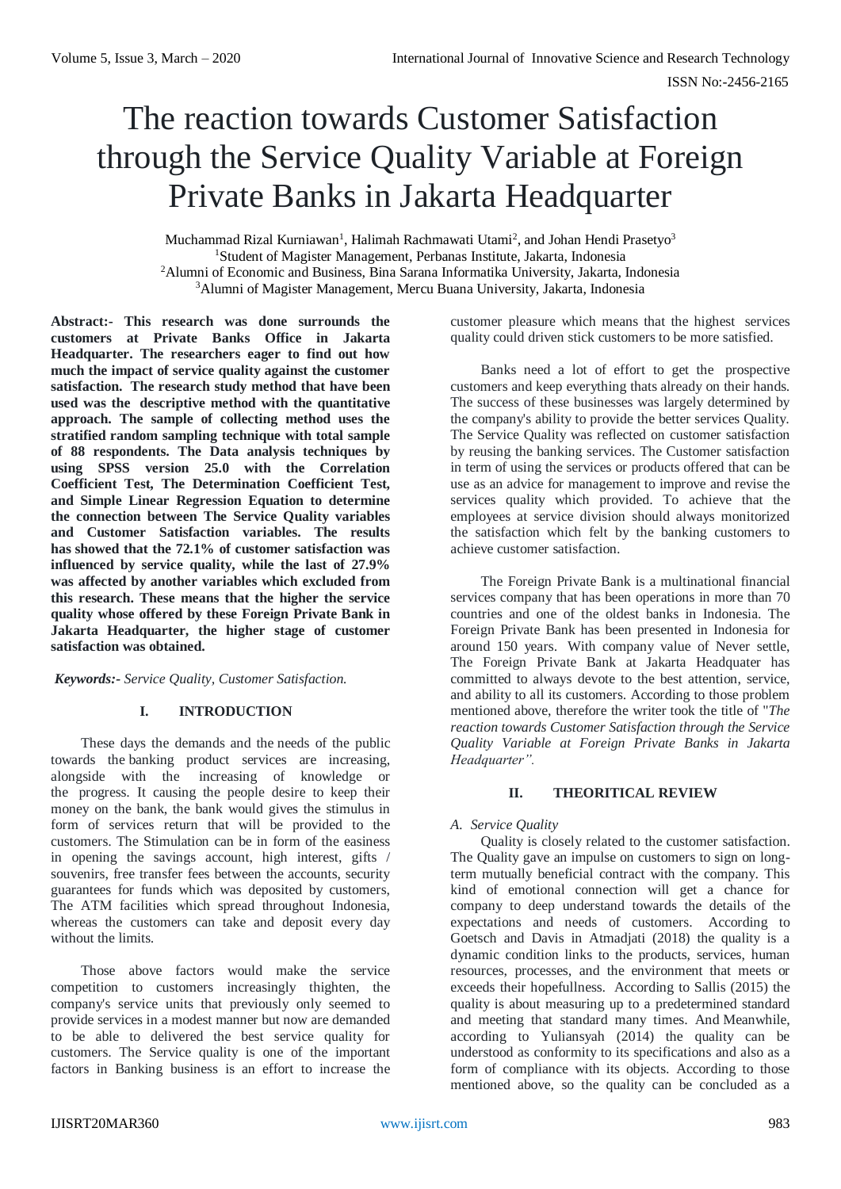# The reaction towards Customer Satisfaction through the Service Quality Variable at Foreign Private Banks in Jakarta Headquarter

Muchammad Rizal Kurniawan<sup>1</sup>, Halimah Rachmawati Utami<sup>2</sup>, and Johan Hendi Prasetyo<sup>3</sup> <sup>1</sup>Student of Magister Management, Perbanas Institute, Jakarta, Indonesia

<sup>2</sup>Alumni of Economic and Business, Bina Sarana Informatika University, Jakarta, Indonesia

<sup>3</sup>Alumni of Magister Management, Mercu Buana University, Jakarta, Indonesia

**Abstract:- This research was done surrounds the customers at Private Banks Office in Jakarta Headquarter. The researchers eager to find out how much the impact of service quality against the customer satisfaction. The research study method that have been used was the descriptive method with the quantitative approach. The sample of collecting method uses the stratified random sampling technique with total sample of 88 respondents. The Data analysis techniques by using SPSS version 25.0 with the Correlation Coefficient Test, The Determination Coefficient Test, and Simple Linear Regression Equation to determine the connection between The Service Quality variables and Customer Satisfaction variables. The results has showed that the 72.1% of customer satisfaction was influenced by service quality, while the last of 27.9% was affected by another variables which excluded from this research. These means that the higher the service quality whose offered by these Foreign Private Bank in Jakarta Headquarter, the higher stage of customer satisfaction was obtained.**

# *Keywords:- Service Quality, Customer Satisfaction.*

# **I. INTRODUCTION**

These days the demands and the needs of the public towards the banking product services are increasing, alongside with the increasing of knowledge or the progress. It causing the people desire to keep their money on the bank, the bank would gives the stimulus in form of services return that will be provided to the customers. The Stimulation can be in form of the easiness in opening the savings account, high interest, gifts / souvenirs, free transfer fees between the accounts, security guarantees for funds which was deposited by customers, The ATM facilities which spread throughout Indonesia, whereas the customers can take and deposit every day without the limits.

Those above factors would make the service competition to customers increasingly thighten, the company's service units that previously only seemed to provide services in a modest manner but now are demanded to be able to delivered the best service quality for customers. The Service quality is one of the important factors in Banking business is an effort to increase the customer pleasure which means that the highest services quality could driven stick customers to be more satisfied.

Banks need a lot of effort to get the prospective customers and keep everything thats already on their hands. The success of these businesses was largely determined by the company's ability to provide the better services Quality. The Service Quality was reflected on customer satisfaction by reusing the banking services. The Customer satisfaction in term of using the services or products offered that can be use as an advice for management to improve and revise the services quality which provided. To achieve that the employees at service division should always monitorized the satisfaction which felt by the banking customers to achieve customer satisfaction.

The Foreign Private Bank is a multinational financial services company that has been operations in more than 70 countries and one of the oldest banks in Indonesia. The Foreign Private Bank has been presented in Indonesia for around 150 years. With company value of Never settle, The Foreign Private Bank at Jakarta Headquater has committed to always devote to the best attention, service, and ability to all its customers. According to those problem mentioned above, therefore the writer took the title of "*The reaction towards Customer Satisfaction through the Service Quality Variable at Foreign Private Banks in Jakarta Headquarter".*

# **II. THEORITICAL REVIEW**

# *A. Service Quality*

Quality is closely related to the customer satisfaction. The Quality gave an impulse on customers to sign on longterm mutually beneficial contract with the company. This kind of emotional connection will get a chance for company to deep understand towards the details of the expectations and needs of customers. According to Goetsch and Davis in Atmadjati (2018) the quality is a dynamic condition links to the products, services, human resources, processes, and the environment that meets or exceeds their hopefullness. According to Sallis (2015) the quality is about measuring up to a predetermined standard and meeting that standard many times. And Meanwhile, according to Yuliansyah (2014) the quality can be understood as conformity to its specifications and also as a form of compliance with its objects. According to those mentioned above, so the quality can be concluded as a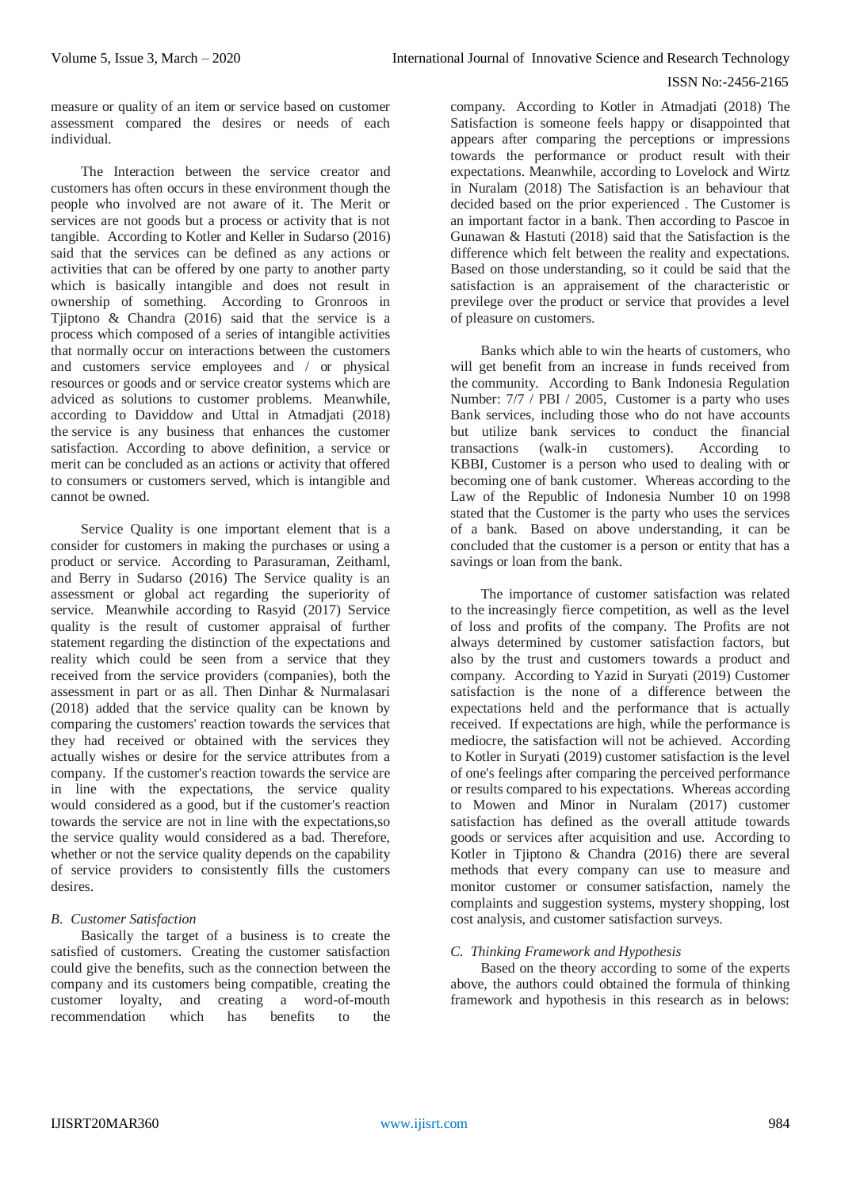#### ISSN No:-2456-2165

measure or quality of an item or service based on customer assessment compared the desires or needs of each individual.

The Interaction between the service creator and customers has often occurs in these environment though the people who involved are not aware of it. The Merit or services are not goods but a process or activity that is not tangible. According to Kotler and Keller in Sudarso (2016) said that the services can be defined as any actions or activities that can be offered by one party to another party which is basically intangible and does not result in ownership of something. According to Gronroos in Tjiptono & Chandra (2016) said that the service is a process which composed of a series of intangible activities that normally occur on interactions between the customers and customers service employees and / or physical resources or goods and or service creator systems which are adviced as solutions to customer problems. Meanwhile, according to Daviddow and Uttal in Atmadjati (2018) the service is any business that enhances the customer satisfaction. According to above definition, a service or merit can be concluded as an actions or activity that offered to consumers or customers served, which is intangible and cannot be owned.

Service Quality is one important element that is a consider for customers in making the purchases or using a product or service. According to Parasuraman, Zeithaml, and Berry in Sudarso (2016) The Service quality is an assessment or global act regarding the superiority of service. Meanwhile according to Rasyid (2017) Service quality is the result of customer appraisal of further statement regarding the distinction of the expectations and reality which could be seen from a service that they received from the service providers (companies), both the assessment in part or as all. Then Dinhar & Nurmalasari (2018) added that the service quality can be known by comparing the customers' reaction towards the services that they had received or obtained with the services they actually wishes or desire for the service attributes from a company. If the customer's reaction towards the service are in line with the expectations, the service quality would considered as a good, but if the customer's reaction towards the service are not in line with the expectations,so the service quality would considered as a bad. Therefore, whether or not the service quality depends on the capability of service providers to consistently fills the customers desires.

# *B. Customer Satisfaction*

Basically the target of a business is to create the satisfied of customers. Creating the customer satisfaction could give the benefits, such as the connection between the company and its customers being compatible, creating the customer loyalty, and creating a word-of-mouth recommendation which has benefits to the

company. According to Kotler in Atmadjati (2018) The Satisfaction is someone feels happy or disappointed that appears after comparing the perceptions or impressions towards the performance or product result with their expectations. Meanwhile, according to Lovelock and Wirtz in Nuralam (2018) The Satisfaction is an behaviour that decided based on the prior experienced . The Customer is an important factor in a bank. Then according to Pascoe in Gunawan & Hastuti (2018) said that the Satisfaction is the difference which felt between the reality and expectations. Based on those understanding, so it could be said that the satisfaction is an appraisement of the characteristic or previlege over the product or service that provides a level of pleasure on customers.

Banks which able to win the hearts of customers, who will get benefit from an increase in funds received from the community. According to Bank Indonesia Regulation Number: 7/7 / PBI / 2005, Customer is a party who uses Bank services, including those who do not have accounts but utilize bank services to conduct the financial transactions (walk-in customers). According to KBBI, Customer is a person who used to dealing with or becoming one of bank customer. Whereas according to the Law of the Republic of Indonesia Number 10 on 1998 stated that the Customer is the party who uses the services of a bank. Based on above understanding, it can be concluded that the customer is a person or entity that has a savings or loan from the bank.

The importance of customer satisfaction was related to the increasingly fierce competition, as well as the level of loss and profits of the company. The Profits are not always determined by customer satisfaction factors, but also by the trust and customers towards a product and company. According to Yazid in Suryati (2019) Customer satisfaction is the none of a difference between the expectations held and the performance that is actually received. If expectations are high, while the performance is mediocre, the satisfaction will not be achieved. According to Kotler in Suryati (2019) customer satisfaction is the level of one's feelings after comparing the perceived performance or results compared to his expectations. Whereas according to Mowen and Minor in Nuralam (2017) customer satisfaction has defined as the overall attitude towards goods or services after acquisition and use. According to Kotler in Tjiptono & Chandra (2016) there are several methods that every company can use to measure and monitor customer or consumer satisfaction, namely the complaints and suggestion systems, mystery shopping, lost cost analysis, and customer satisfaction surveys.

# *C. Thinking Framework and Hypothesis*

Based on the theory according to some of the experts above, the authors could obtained the formula of thinking framework and hypothesis in this research as in belows: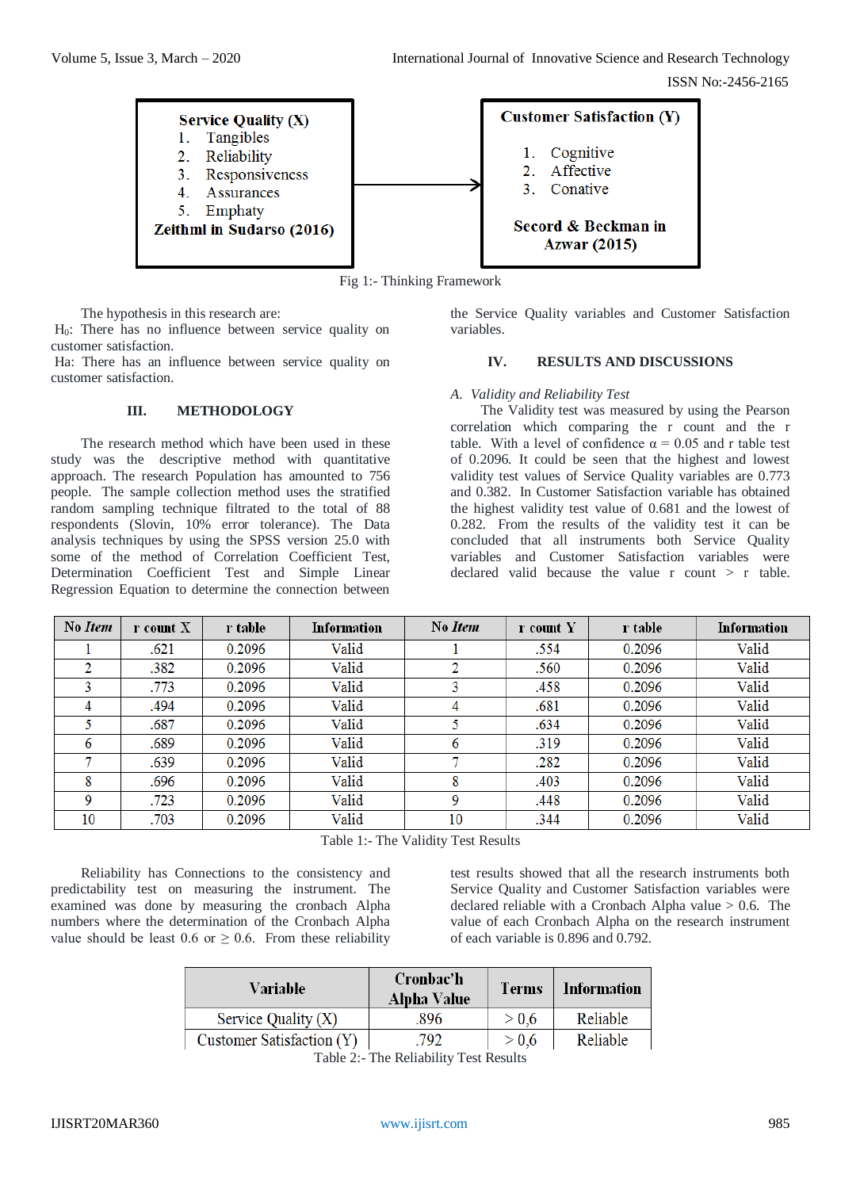

Fig 1:- Thinking Framework

The hypothesis in this research are:

H0: There has no influence between service quality on customer satisfaction.

Ha: There has an influence between service quality on customer satisfaction.

# **III. METHODOLOGY**

The research method which have been used in these study was the descriptive method with quantitative approach. The research Population has amounted to 756 people. The sample collection method uses the stratified random sampling technique filtrated to the total of 88 respondents (Slovin, 10% error tolerance). The Data analysis techniques by using the SPSS version 25.0 with some of the method of Correlation Coefficient Test, Determination Coefficient Test and Simple Linear Regression Equation to determine the connection between

the Service Quality variables and Customer Satisfaction variables.

#### **IV. RESULTS AND DISCUSSIONS**

#### *A. Validity and Reliability Test*

The Validity test was measured by using the Pearson correlation which comparing the r count and the r table. With a level of confidence  $\alpha = 0.05$  and r table test of 0.2096. It could be seen that the highest and lowest validity test values of Service Quality variables are 0.773 and 0.382. In Customer Satisfaction variable has obtained the highest validity test value of 0.681 and the lowest of 0.282. From the results of the validity test it can be concluded that all instruments both Service Quality variables and Customer Satisfaction variables were declared valid because the value r count > r table.

| No Item | r count X | r table | Information | No Item | r count Y | r table | Information |
|---------|-----------|---------|-------------|---------|-----------|---------|-------------|
|         | .621      | 0.2096  | Valid       |         | .554      | 0.2096  | Valid       |
| 2       | .382      | 0.2096  | Valid       |         | .560      | 0.2096  | Valid       |
|         | .773      | 0.2096  | Valid       | 3       | .458      | 0.2096  | Valid       |
| 4       | .494      | 0.2096  | Valid       |         | .681      | 0.2096  | Valid       |
|         | .687      | 0.2096  | Valid       |         | .634      | 0.2096  | Valid       |
| 6       | .689      | 0.2096  | Valid       | 6       | .319      | 0.2096  | Valid       |
|         | .639      | 0.2096  | Valid       |         | .282      | 0.2096  | Valid       |
| 8       | .696      | 0.2096  | Valid       | 8       | .403      | 0.2096  | Valid       |
| 9       | .723      | 0.2096  | Valid       | 9       | .448      | 0.2096  | Valid       |
| 10      | .703      | 0.2096  | Valid       | 10      | .344      | 0.2096  | Valid       |

Table 1:- The Validity Test Results

Reliability has Connections to the consistency and predictability test on measuring the instrument. The examined was done by measuring the cronbach Alpha numbers where the determination of the Cronbach Alpha value should be least 0.6 or  $\geq$  0.6. From these reliability

test results showed that all the research instruments both Service Quality and Customer Satisfaction variables were declared reliable with a Cronbach Alpha value > 0.6. The value of each Cronbach Alpha on the research instrument of each variable is 0.896 and 0.792.

| Variable                  | Cronbac'h<br>Alpha Value | <b>Terms</b> | Information |  |
|---------------------------|--------------------------|--------------|-------------|--|
| Service Quality $(X)$     | 896                      | > 0.6        | Reliable    |  |
| Customer Satisfaction (Y) | .792                     | > 0.6        | Reliable    |  |

Table 2:- The Reliability Test Results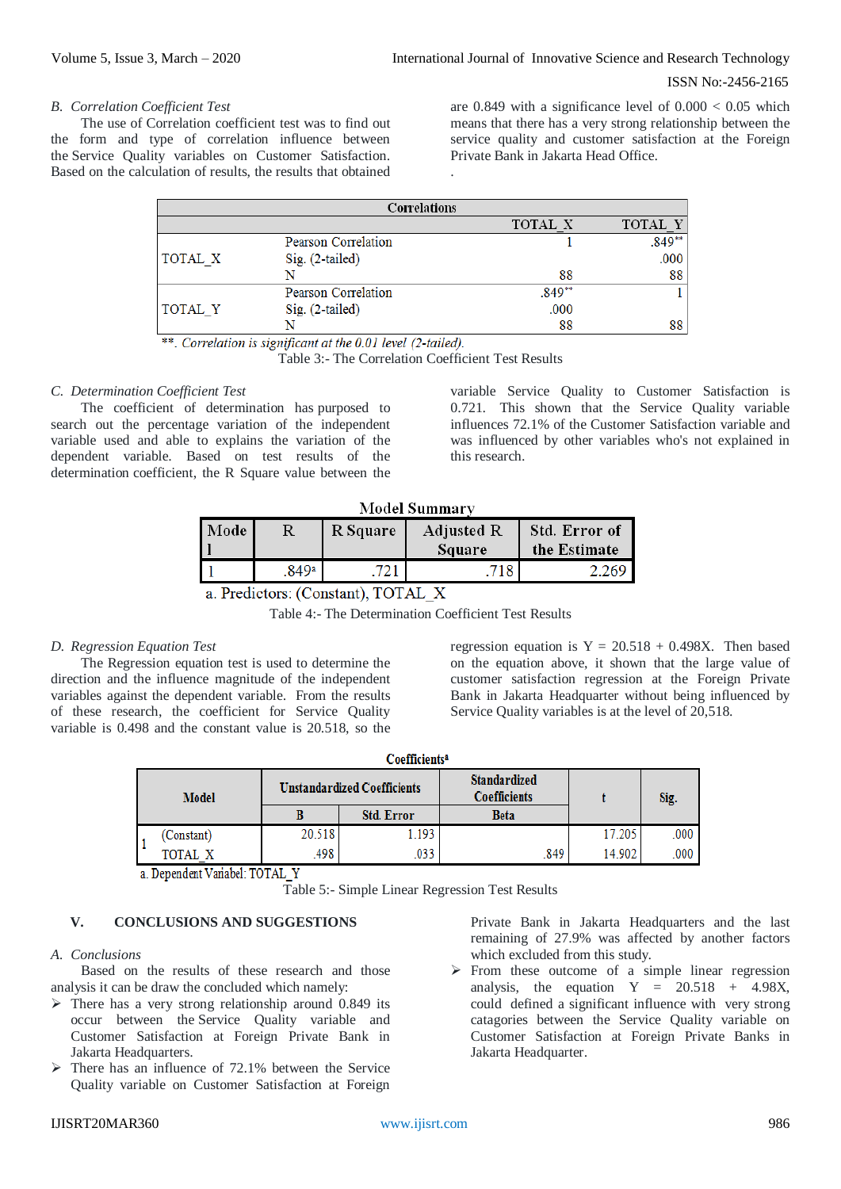ISSN No:-2456-2165

#### *B. Correlation Coefficient Test*

The use of Correlation coefficient test was to find out the form and type of correlation influence between the Service Quality variables on Customer Satisfaction. Based on the calculation of results, the results that obtained are 0.849 with a significance level of  $0.000 < 0.05$  which means that there has a very strong relationship between the service quality and customer satisfaction at the Foreign Private Bank in Jakarta Head Office.

| Correlations |                     |                |          |  |  |
|--------------|---------------------|----------------|----------|--|--|
|              |                     | <b>TOTAL X</b> | TOTAL Y  |  |  |
|              | Pearson Correlation |                | $.849**$ |  |  |
| TOTAL X      | $Sig. (2-tailed)$   |                | .000     |  |  |
|              |                     | 88             | 88       |  |  |
|              | Pearson Correlation | .849**         |          |  |  |
| TOTAL Y      | $Sig. (2-tailed)$   | .000           |          |  |  |
|              |                     | 88             | 88       |  |  |

.

\*\*. Correlation is significant at the 0.01 level (2-tailed).

Table 3:- The Correlation Coefficient Test Results

# *C. Determination Coefficient Test*

The coefficient of determination has purposed to search out the percentage variation of the independent variable used and able to explains the variation of the dependent variable. Based on test results of the determination coefficient, the R Square value between the variable Service Quality to Customer Satisfaction is 0.721. This shown that the Service Quality variable influences 72.1% of the Customer Satisfaction variable and was influenced by other variables who's not explained in this research.

| <b>Model Summary</b>           |       |          |                             |                               |  |  |
|--------------------------------|-------|----------|-----------------------------|-------------------------------|--|--|
| Mode                           | R     | R Square | <b>Adjusted R</b><br>Square | Std. Error of<br>the Estimate |  |  |
|                                | .849a | 721      | 718                         | 2.269                         |  |  |
| a Dredictore: (Constant) TOTAL |       |          |                             |                               |  |  |

a. Predictors: (Constant),  $101AL_X$ 

Table 4:- The Determination Coefficient Test Results

# *D. Regression Equation Test*

The Regression equation test is used to determine the direction and the influence magnitude of the independent variables against the dependent variable. From the results of these research, the coefficient for Service Quality variable is 0.498 and the constant value is 20.518, so the regression equation is  $Y = 20.518 + 0.498X$ . Then based on the equation above, it shown that the large value of customer satisfaction regression at the Foreign Private Bank in Jakarta Headquarter without being influenced by Service Quality variables is at the level of 20,518.

| <b>Model</b> |            | <b>Unstandardized Coefficients</b> |                   | <b>Standardized</b><br><b>Coefficients</b> |        | Sig. |
|--------------|------------|------------------------------------|-------------------|--------------------------------------------|--------|------|
|              |            |                                    | <b>Std. Error</b> | <b>Beta</b>                                |        |      |
|              | (Constant) | 20.518                             | .193              |                                            | 17.205 | .000 |
|              | TOTAL X    | 498                                | .033              | 849                                        | 14.902 | .000 |

a. Dependent Variabel: TOTAL Y

Table 5:- Simple Linear Regression Test Results

# **V. CONCLUSIONS AND SUGGESTIONS**

#### *A. Conclusions*

Based on the results of these research and those analysis it can be draw the concluded which namely:

- $\triangleright$  There has a very strong relationship around 0.849 its occur between the Service Quality variable and Customer Satisfaction at Foreign Private Bank in Jakarta Headquarters.
- $\triangleright$  There has an influence of 72.1% between the Service Quality variable on Customer Satisfaction at Foreign

Private Bank in Jakarta Headquarters and the last remaining of 27.9% was affected by another factors which excluded from this study.

 $\triangleright$  From these outcome of a simple linear regression analysis, the equation  $Y = 20.518 + 4.98X$ , could defined a significant influence with very strong catagories between the Service Quality variable on Customer Satisfaction at Foreign Private Banks in Jakarta Headquarter.